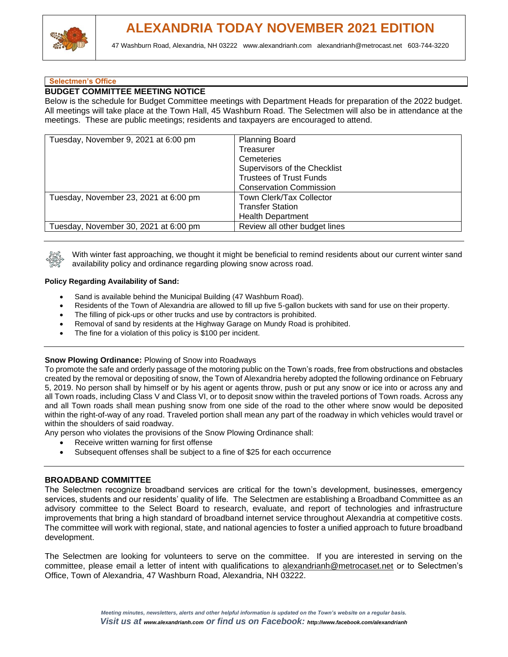

## **Selectmen's Office**

## **BUDGET COMMITTEE MEETING NOTICE**

Below is the schedule for Budget Committee meetings with Department Heads for preparation of the 2022 budget. All meetings will take place at the Town Hall, 45 Washburn Road. The Selectmen will also be in attendance at the meetings. These are public meetings; residents and taxpayers are encouraged to attend.

| Tuesday, November 9, 2021 at 6:00 pm  | <b>Planning Board</b><br>Treasurer<br>Cemeteries<br>Supervisors of the Checklist<br><b>Trustees of Trust Funds</b><br><b>Conservation Commission</b> |  |
|---------------------------------------|------------------------------------------------------------------------------------------------------------------------------------------------------|--|
| Tuesday, November 23, 2021 at 6:00 pm | Town Clerk/Tax Collector<br><b>Transfer Station</b><br><b>Health Department</b>                                                                      |  |
| Tuesday, November 30, 2021 at 6:00 pm | Review all other budget lines                                                                                                                        |  |



With winter fast approaching, we thought it might be beneficial to remind residents about our current winter sand availability policy and ordinance regarding plowing snow across road.

#### **Policy Regarding Availability of Sand:**

- Sand is available behind the Municipal Building (47 Washburn Road).
- Residents of the Town of Alexandria are allowed to fill up five 5-gallon buckets with sand for use on their property.
- The filling of pick-ups or other trucks and use by contractors is prohibited.
- Removal of sand by residents at the Highway Garage on Mundy Road is prohibited.
- The fine for a violation of this policy is \$100 per incident.

#### **Snow Plowing Ordinance:** Plowing of Snow into Roadways

To promote the safe and orderly passage of the motoring public on the Town's roads, free from obstructions and obstacles created by the removal or depositing of snow, the Town of Alexandria hereby adopted the following ordinance on February 5, 2019. No person shall by himself or by his agent or agents throw, push or put any snow or ice into or across any and all Town roads, including Class V and Class VI, or to deposit snow within the traveled portions of Town roads. Across any and all Town roads shall mean pushing snow from one side of the road to the other where snow would be deposited within the right-of-way of any road. Traveled portion shall mean any part of the roadway in which vehicles would travel or within the shoulders of said roadway.

Any person who violates the provisions of the Snow Plowing Ordinance shall:

- Receive written warning for first offense
- Subsequent offenses shall be subject to a fine of \$25 for each occurrence

#### **BROADBAND COMMITTEE**

The Selectmen recognize broadband services are critical for the town's development, businesses, emergency services, students and our residents' quality of life. The Selectmen are establishing a Broadband Committee as an advisory committee to the Select Board to research, evaluate, and report of technologies and infrastructure improvements that bring a high standard of broadband internet service throughout Alexandria at competitive costs. The committee will work with regional, state, and national agencies to foster a unified approach to future broadband development.

The Selectmen are looking for volunteers to serve on the committee. If you are interested in serving on the committee, please email a letter of intent with qualifications to [alexandrianh@metrocaset.net](mailto:alexandrianh@metrocaset.net) or to Selectmen's Office, Town of Alexandria, 47 Washburn Road, Alexandria, NH 03222.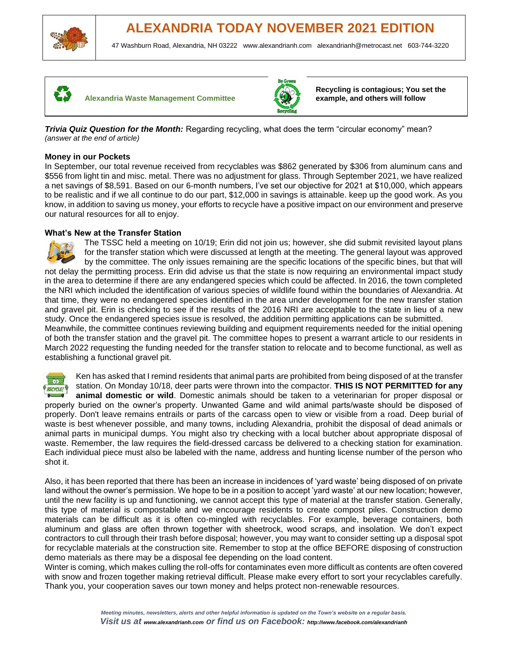





**Recycling is contagious; You set the example, and others will follow**

**Trivia Quiz Question for the Month:** Regarding recycling, what does the term "circular economy" mean? *(answer at the end of article)* 

#### **Money in our Pockets**

In September, our total revenue received from recyclables was \$862 generated by \$306 from aluminum cans and \$556 from light tin and misc. metal. There was no adjustment for glass. Through September 2021, we have realized a net savings of \$8,591. Based on our 6-month numbers, I've set our objective for 2021 at \$10,000, which appears to be realistic and if we all continue to do our part, \$12,000 in savings is attainable. keep up the good work. As you know, in addition to saving us money, your efforts to recycle have a positive impact on our environment and preserve our natural resources for all to enjoy.

## **What's New at the Transfer Station**

The TSSC held a meeting on 10/19; Erin did not join us; however, she did submit revisited layout plans for the transfer station which were discussed at length at the meeting. The general layout was approved by the committee. The only issues remaining are the specific locations of the specific bines, but that will not delay the permitting process. Erin did advise us that the state is now requiring an environmental impact study in the area to determine if there are any endangered species which could be affected. In 2016, the town completed the NRI which included the identification of various species of wildlife found within the boundaries of Alexandria. At that time, they were no endangered species identified in the area under development for the new transfer station and gravel pit. Erin is checking to see if the results of the 2016 NRI are acceptable to the state in lieu of a new study. Once the endangered species issue is resolved, the addition permitting applications can be submitted. Meanwhile, the committee continues reviewing building and equipment requirements needed for the initial opening of both the transfer station and the gravel pit. The committee hopes to present a warrant article to our residents in March 2022 requesting the funding needed for the transfer station to relocate and to become functional, as well as establishing a functional gravel pit.



Ken has asked that I remind residents that animal parts are prohibited from being disposed of at the transfer station. On Monday 10/18, deer parts were thrown into the compactor. **THIS IS NOT PERMITTED for any animal domestic or wild**. Domestic animals should be taken to a veterinarian for proper disposal or properly buried on the owner's property. Unwanted Game and wild animal parts/waste should be disposed of properly. Don't leave remains entrails or parts of the carcass open to view or visible from a road. Deep burial of waste is best whenever possible, and many towns, including Alexandria, prohibit the disposal of dead animals or animal parts in municipal dumps. You might also try checking with a local butcher about appropriate disposal of waste. Remember, the law requires the field-dressed carcass be delivered to a checking station for examination. Each individual piece must also be labeled with the name, address and hunting license number of the person who shot it.

Also, it has been reported that there has been an increase in incidences of 'yard waste' being disposed of on private land without the owner's permission. We hope to be in a position to accept 'yard waste' at our new location; however, until the new facility is up and functioning, we cannot accept this type of material at the transfer station. Generally, this type of material is compostable and we encourage residents to create compost piles. Construction demo materials can be difficult as it is often co-mingled with recyclables. For example, beverage containers, both aluminum and glass are often thrown together with sheetrock, wood scraps, and insolation. We don't expect contractors to cull through their trash before disposal; however, you may want to consider setting up a disposal spot for recyclable materials at the construction site. Remember to stop at the office BEFORE disposing of construction demo materials as there may be a disposal fee depending on the load content.

Winter is coming, which makes culling the roll-offs for contaminates even more difficult as contents are often covered with snow and frozen together making retrieval difficult. Please make every effort to sort your recyclables carefully. Thank you, your cooperation saves our town money and helps protect non-renewable resources.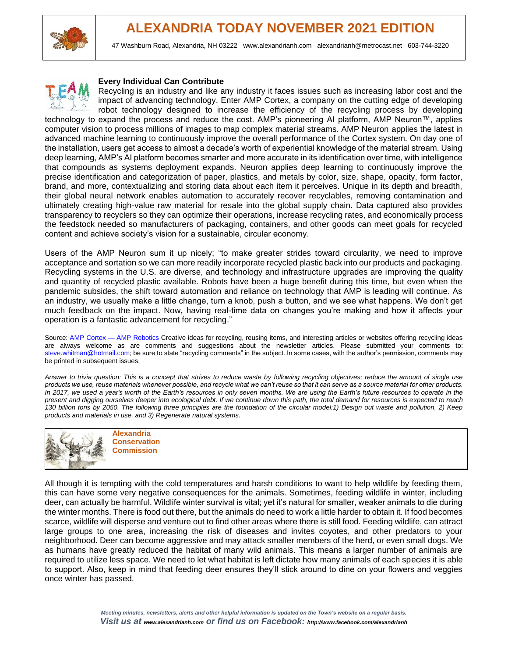



#### **Every Individual Can Contribute**

Recycling is an industry and like any industry it faces issues such as increasing labor cost and the impact of advancing technology. Enter AMP Cortex, a company on the cutting edge of developing robot technology designed to increase the efficiency of the recycling process by developing technology to expand the process and reduce the cost. AMP's pioneering AI platform, AMP Neuron™, applies computer vision to process millions of images to map complex material streams. AMP Neuron applies the latest in advanced machine learning to continuously improve the overall performance of the Cortex system. On day one of the installation, users get access to almost a decade's worth of experiential knowledge of the material stream. Using deep learning, AMP's AI platform becomes smarter and more accurate in its identification over time, with intelligence that compounds as systems deployment expands. Neuron applies deep learning to continuously improve the precise identification and categorization of paper, plastics, and metals by color, size, shape, opacity, form factor, brand, and more, contextualizing and storing data about each item it perceives. Unique in its depth and breadth, their global neural network enables automation to accurately recover recyclables, removing contamination and ultimately creating high-value raw material for resale into the global supply chain. Data captured also provides transparency to recyclers so they can optimize their operations, increase recycling rates, and economically process the feedstock needed so manufacturers of packaging, containers, and other goods can meet goals for recycled content and achieve society's vision for a sustainable, circular economy.

Users of the AMP Neuron sum it up nicely; "to make greater strides toward circularity, we need to improve acceptance and sortation so we can more readily incorporate recycled plastic back into our products and packaging. Recycling systems in the U.S. are diverse, and technology and infrastructure upgrades are improving the quality and quantity of recycled plastic available. Robots have been a huge benefit during this time, but even when the pandemic subsides, the shift toward automation and reliance on technology that AMP is leading will continue. As an industry, we usually make a little change, turn a knob, push a button, and we see what happens. We don't get much feedback on the impact. Now, having real-time data on changes you're making and how it affects your operation is a fantastic advancement for recycling."

Source: AMP Cortex — AMP Robotics Creative ideas for recycling, reusing items, and interesting articles or websites offering recycling ideas are always welcome as are comments and suggestions about the newsletter articles. Please submitted your comments to: steve.whitman@hotmail.com; be sure to state "recycling comments" in the subject. In some cases, with the author's permission, comments may be printed in subsequent issues.

*Answer to trivia question: This is a concept that strives to reduce waste by following recycling objectives; reduce the amount of single use products we use, reuse materials whenever possible, and recycle what we can't reuse so that it can serve as a source material for other products. In 2017, we used a year's worth of the Earth's resources in only seven months. We are using the Earth's future resources to operate in the present and digging ourselves deeper into ecological debt. If we continue down this path, the total demand for resources is expected to reach 130 billion tons by 2050. The following three principles are the foundation of the circular model:1) Design out waste and pollution, 2) Keep products and materials in use, and 3) Regenerate natural systems.*



**Alexandria Conservation Commission**

All though it is tempting with the cold temperatures and harsh conditions to want to help wildlife by feeding them, this can have some very negative consequences for the animals. Sometimes, feeding wildlife in winter, including deer, can actually be harmful. Wildlife winter survival is vital; yet it's natural for smaller, weaker animals to die during the winter months. There is food out there, but the animals do need to work a little harder to obtain it. If food becomes scarce, wildlife will disperse and venture out to find other areas where there is still food. Feeding wildlife, can attract large groups to one area, increasing the risk of diseases and invites coyotes, and other predators to your neighborhood. Deer can become aggressive and may attack smaller members of the herd, or even small dogs. We as humans have greatly reduced the habitat of many wild animals. This means a larger number of animals are required to utilize less space. We need to let what habitat is left dictate how many animals of each species it is able to support. Also, keep in mind that feeding deer ensures they'll stick around to dine on your flowers and veggies once winter has passed.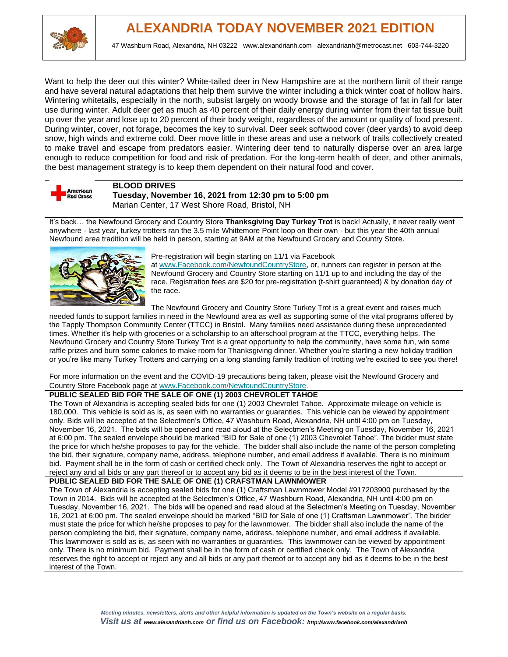

Want to help the deer out this winter? White-tailed deer in New Hampshire are at the northern limit of their range and have several natural adaptations that help them survive the winter including a thick winter coat of hollow hairs. Wintering whitetails, especially in the north, subsist largely on woody browse and the storage of fat in fall for later use during winter. Adult deer get as much as 40 percent of their daily energy during winter from their fat tissue built up over the year and lose up to 20 percent of their body weight, regardless of the amount or quality of food present. During winter, cover, not forage, becomes the key to survival. Deer seek softwood cover (deer yards) to avoid deep snow, high winds and extreme cold. Deer move little in these areas and use a network of trails collectively created to make travel and escape from predators easier. Wintering deer tend to naturally disperse over an area large enough to reduce competition for food and risk of predation. For the long-term health of deer, and other animals, the best management strategy is to keep them dependent on their natural food and cover.



## **BLOOD DRIVES**

**Tuesday, November 16, 2021 from 12:30 pm to 5:00 pm** Marian Center, 17 West Shore Road, Bristol, NH

It's back… the Newfound Grocery and Country Store **Thanksgiving Day Turkey Trot** is back! Actually, it never really went anywhere - last year, turkey trotters ran the 3.5 mile Whittemore Point loop on their own - but this year the 40th annual Newfound area tradition will be held in person, starting at 9AM at the Newfound Grocery and Country Store.



#### Pre-registration will begin starting on 11/1 via Facebook

at [www.Facebook.com/NewfoundCountryStore,](http://www.facebook.com/NewfoundCountryStore) or, runners can register in person at the Newfound Grocery and Country Store starting on 11/1 up to and including the day of the race. Registration fees are \$20 for pre-registration (t-shirt guaranteed) & by donation day of the race.

The Newfound Grocery and Country Store Turkey Trot is a great event and raises much

needed funds to support families in need in the Newfound area as well as supporting some of the vital programs offered by the Tapply Thompson Community Center (TTCC) in Bristol. Many families need assistance during these unprecedented times. Whether it's help with groceries or a scholarship to an afterschool program at the TTCC, everything helps. The Newfound Grocery and Country Store Turkey Trot is a great opportunity to help the community, have some fun, win some raffle prizes and burn some calories to make room for Thanksgiving dinner. Whether you're starting a new holiday tradition or you're like many Turkey Trotters and carrying on a long standing family tradition of trotting we're excited to see you there!

For more information on the event and the COVID-19 precautions being taken, please visit the Newfound Grocery and Country Store Facebook page at [www.Facebook.com/NewfoundCountryStore.](http://www.facebook.com/NewfoundCountryStore)

### **PUBLIC SEALED BID FOR THE SALE OF ONE (1) 2003 CHEVROLET TAHOE**

The Town of Alexandria is accepting sealed bids for one (1) 2003 Chevrolet Tahoe. Approximate mileage on vehicle is 180,000. This vehicle is sold as is, as seen with no warranties or guaranties. This vehicle can be viewed by appointment only. Bids will be accepted at the Selectmen's Office, 47 Washburn Road, Alexandria, NH until 4:00 pm on Tuesday, November 16, 2021. The bids will be opened and read aloud at the Selectmen's Meeting on Tuesday, November 16, 2021 at 6:00 pm. The sealed envelope should be marked "BID for Sale of one (1) 2003 Chevrolet Tahoe". The bidder must state the price for which he/she proposes to pay for the vehicle. The bidder shall also include the name of the person completing the bid, their signature, company name, address, telephone number, and email address if available. There is no minimum bid. Payment shall be in the form of cash or certified check only. The Town of Alexandria reserves the right to accept or reject any and all bids or any part thereof or to accept any bid as it deems to be in the best interest of the Town.

**PUBLIC SEALED BID FOR THE SALE OF ONE (1) CRAFSTMAN LAWNMOWER**

The Town of Alexandria is accepting sealed bids for one (1) Craftsman Lawnmower Model #917203900 purchased by the Town in 2014. Bids will be accepted at the Selectmen's Office, 47 Washburn Road, Alexandria, NH until 4:00 pm on Tuesday, November 16, 2021. The bids will be opened and read aloud at the Selectmen's Meeting on Tuesday, November 16, 2021 at 6:00 pm. The sealed envelope should be marked "BID for Sale of one (1) Craftsman Lawnmower". The bidder must state the price for which he/she proposes to pay for the lawnmower. The bidder shall also include the name of the person completing the bid, their signature, company name, address, telephone number, and email address if available. This lawnmower is sold as is, as seen with no warranties or guaranties. This lawnmower can be viewed by appointment only. There is no minimum bid. Payment shall be in the form of cash or certified check only. The Town of Alexandria reserves the right to accept or reject any and all bids or any part thereof or to accept any bid as it deems to be in the best interest of the Town.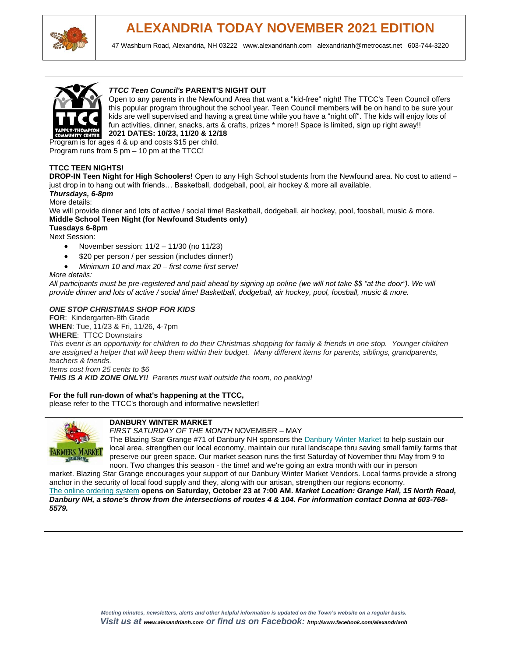

## **ALEXANDRIA TODAY NOVEMBER 2021 EDITION**

47 Washburn Road, Alexandria, NH 03222 [www.alexandrianh.com](http://www.alexandrianh.com/) [alexandrianh@metrocast.net](mailto:alexandrianh@metrocast.net) 603-744-3220



#### *TTCC Teen Council's* **[PARENT'S NIGHT OUT](https://ttccrec.org/special_programs/parents-night-out/)**

Open to any parents in the Newfound Area that want a "kid-free" night! The TTCC's Teen Council offers this popular program throughout the school year. Teen Council members will be on hand to be sure your kids are well supervised and having a great time while you have a "night off". The kids will enjoy lots of fun activities, dinner, snacks, arts & crafts, prizes \* more!! Space is limited, sign up right away!! **2021 DATES: 10/23, 11/20 & 12/18**

Program is for ages 4 & up and costs \$15 per child. Program runs from 5 pm – 10 pm at the TTCC!

#### **[TTCC TEEN NIGHTS!](https://ttccrec.org/teen_programs/teen-night/)**

**DROP-IN Teen Night for High Schoolers!** Open to any High School students from the Newfound area. No cost to attend – just drop in to hang out with friends… Basketball, dodgeball, pool, air hockey & more all available.

#### *Thursdays, 6-8pm*

More details:

We will provide dinner and lots of active / social time! Basketball, dodgeball, air hockey, pool, foosball, music & more. **Middle School Teen Night (for Newfound Students only)**

**Tuesdays 6-8pm**

- Next Session:
	- November session:  $11/2 11/30$  (no  $11/23$ )
	- \$20 per person / per session (includes dinner!)
	- *Minimum 10 and max 20 – first come first serve!*

#### *More details:*

*All participants must be pre-registered and paid ahead by signing up online (we will not take \$\$ "at the door"). We will provide dinner and lots of active / social time! Basketball, dodgeball, air hockey, pool, foosball, music & more.*

#### *ONE STOP CHRISTMAS SHOP FOR KIDS*

**FOR**: Kindergarten-8th Grade **WHEN**: Tue, 11/23 & Fri, 11/26, 4-7pm **WHERE**: TTCC Downstairs *This event is an opportunity for children to do their Christmas shopping for family & friends in one stop. Younger children are assigned a helper that will keep them within their budget. Many different items for parents, siblings, grandparents, teachers & friends. Items cost from 25 cents to \$6*

*THIS IS A KID ZONE ONLY!! Parents must wait outside the room, no peeking!*

#### **For the full run-down of what's happening at the TTCC,**

[please refer to the TTCC's thorough and informative newsletter!](https://mailchi.mp/983cd2c0d83c/ttcc-happenings-101821?e=210f62fe6f)



#### **DANBURY WINTER MARKET**

*FIRST SATURDAY OF THE MONTH* NOVEMBER – MAY

The Blazing Star Grange #71 of Danbury NH sponsors the [Danbury Winter Market](https://harvesttomarket.com/farmers-market/Danbury-Winter-Market) to help sustain our local area, strengthen our local economy, maintain our rural landscape thru saving small family farms that preserve our green space. Our market season runs the first Saturday of November thru May from 9 to noon. Two changes this season - the time! and we're going an extra month with our in person

market. Blazing Star Grange encourages your support of our Danbury Winter Market Vendors. Local farms provide a strong anchor in the security of local food supply and they, along with our artisan, strengthen our regions economy. [The online ordering system](https://harvesttomarket.com/farmers-market/Danbury-Winter-Market) **opens on Saturday, October 23 at 7:00 AM.** *Market Location: Grange Hall, 15 North Road, Danbury NH, a stone's throw from the intersections of routes 4 & 104. For information contact Donna at 603-768- 5579.*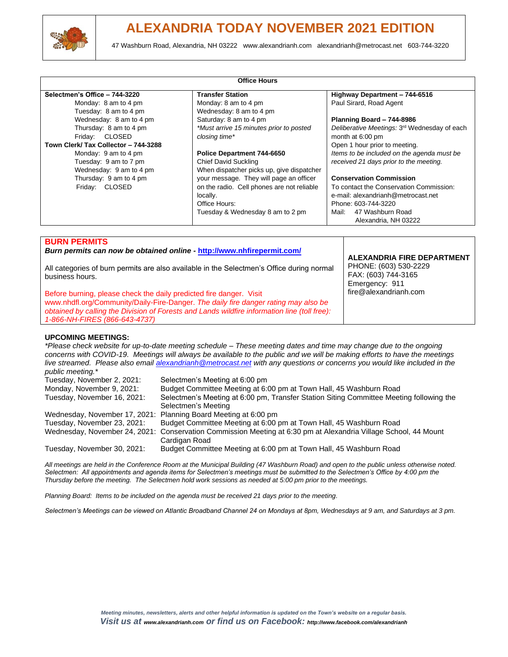

| <b>Office Hours</b>                      |                                                          |                                                                              |
|------------------------------------------|----------------------------------------------------------|------------------------------------------------------------------------------|
| Selectmen's Office - 744-3220            | <b>Transfer Station</b>                                  | Highway Department - 744-6516                                                |
| Monday: 8 am to 4 pm                     | Monday: 8 am to 4 pm                                     | Paul Sirard, Road Agent                                                      |
| Tuesday: 8 am to 4 pm                    | Wednesday: 8 am to 4 pm                                  |                                                                              |
| Wednesday: 8 am to 4 pm                  | Saturday: 8 am to 4 pm                                   | Planning Board - 744-8986                                                    |
| Thursday: 8 am to 4 pm<br>Friday: CLOSED | *Must arrive 15 minutes prior to posted<br>closing time* | Deliberative Meetings: 3 <sup>rd</sup> Wednesday of each<br>month at 6:00 pm |
| Town Clerk/ Tax Collector - 744-3288     |                                                          | Open 1 hour prior to meeting.                                                |
| Monday: 9 am to 4 pm                     | Police Department 744-6650                               | Items to be included on the agenda must be                                   |
| Tuesday: 9 am to 7 pm                    | <b>Chief David Suckling</b>                              | received 21 days prior to the meeting.                                       |
| Wednesday: 9 am to 4 pm                  | When dispatcher picks up, give dispatcher                |                                                                              |
| Thursday: 9 am to 4 pm                   | your message. They will page an officer                  | <b>Conservation Commission</b>                                               |
| Friday: CLOSED                           | on the radio. Cell phones are not reliable               | To contact the Conservation Commission:                                      |
|                                          | locally.                                                 | e-mail: alexandrianh@metrocast.net                                           |
|                                          | Office Hours:                                            | Phone: 603-744-3220                                                          |
|                                          | Tuesday & Wednesday 8 am to 2 pm                         | Mail:<br>47 Washburn Road<br>Alexandria, NH 03222                            |

#### **BURN PERMITS**

*Burn permits can now be obtained online -* **<http://www.nhfirepermit.com/>**

All categories of burn permits are also available in the Selectmen's Office during normal business hours.

Before burning, please check the daily predicted fire danger. Visit [www.nhdfl.org/Community/Daily-Fire-Danger.](http://www.nhdfl.org/Community/Daily-Fire-Danger) *The daily fire danger rating may also be obtained by calling the Division of Forests and Lands wildfire information line (toll free): 1-866-NH-FIRES (866-643-4737)*

**ALEXANDRIA FIRE DEPARTMENT** PHONE: (603) 530-2229

FAX: (603) 744-3165 Emergency: 911 fire@alexandrianh.com

#### **UPCOMING MEETINGS:**

*\*Please check website for up-to-date meeting schedule – These meeting dates and time may change due to the ongoing concerns with COVID-19. Meetings will always be available to the public and we will be making efforts to have the meetings live streamed. Please also email [alexandrianh@metrocast.net](mailto:alexandrianh@metrocast.net) with any questions or concerns you would like included in the public meeting.\** Selectmen's Meeting at 6:00 pm Monday, November 9, 2021: Budget Committee Meeting at 6:00 pm at Town Hall, 45 Washburn Road Tuesday, November 16, 2021: Selectmen's Meeting at 6:00 pm, Transfer Station Siting Committee Meeting following the Selectmen's Meeting Wednesday, November 17, 2021: Planning Board Meeting at 6:00 pm<br>Tuesdav. November 23, 2021: Budget Committee Meeting at 6:00 Budget Committee Meeting at 6:00 pm at Town Hall, 45 Washburn Road Wednesday, November 24, 2021: Conservation Commission Meeting at 6:30 pm at Alexandria Village School, 44 Mount Cardigan Road Tuesday, November 30, 2021: Budget Committee Meeting at 6:00 pm at Town Hall, 45 Washburn Road

*All meetings are held in the Conference Room at the Municipal Building (47 Washburn Road) and open to the public unless otherwise noted. Selectmen: All appointments and agenda items for Selectmen's meetings must be submitted to the Selectmen's Office by 4:00 pm the Thursday before the meeting. The Selectmen hold work sessions as needed at 5:00 pm prior to the meetings.*

*Planning Board: Items to be included on the agenda must be received 21 days prior to the meeting.*

*Selectmen's Meetings can be viewed on Atlantic Broadband Channel 24 on Mondays at 8pm, Wednesdays at 9 am, and Saturdays at 3 pm.*